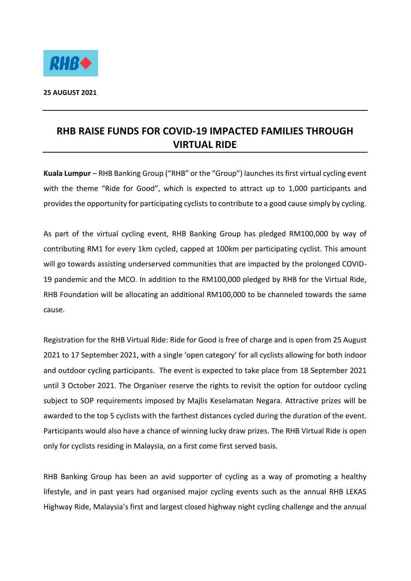

## **RHB RAISE FUNDS FOR COVID-19 IMPACTED FAMILIES THROUGH VIRTUAL RIDE**

**Kuala Lumpur** – RHB Banking Group ("RHB" or the "Group") launches itsfirst virtual cycling event with the theme "Ride for Good", which is expected to attract up to 1,000 participants and provides the opportunity for participating cyclists to contribute to a good cause simply by cycling.

As part of the virtual cycling event, RHB Banking Group has pledged RM100,000 by way of contributing RM1 for every 1km cycled, capped at 100km per participating cyclist. This amount will go towards assisting underserved communities that are impacted by the prolonged COVID-19 pandemic and the MCO. In addition to the RM100,000 pledged by RHB for the Virtual Ride, RHB Foundation will be allocating an additional RM100,000 to be channeled towards the same cause.

Registration for the RHB Virtual Ride: Ride for Good is free of charge and is open from 25 August 2021 to 17 September 2021, with a single 'open category' for all cyclists allowing for both indoor and outdoor cycling participants. The event is expected to take place from 18 September 2021 until 3 October 2021. The Organiser reserve the rights to revisit the option for outdoor cycling subject to SOP requirements imposed by Majlis Keselamatan Negara. Attractive prizes will be awarded to the top 5 cyclists with the farthest distances cycled during the duration of the event. Participants would also have a chance of winning lucky draw prizes. The RHB Virtual Ride is open only for cyclists residing in Malaysia, on a first come first served basis.

RHB Banking Group has been an avid supporter of cycling as a way of promoting a healthy lifestyle, and in past years had organised major cycling events such as the annual RHB LEKAS Highway Ride, Malaysia's first and largest closed highway night cycling challenge and the annual